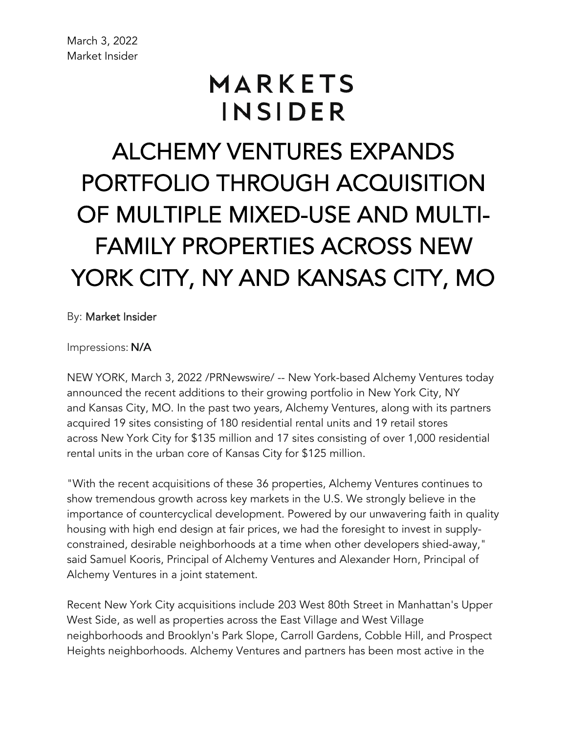## MARKETS INSIDER

ALCHEMY VENTURES EXPANDS PORTFOLIO THROUGH ACQUISITION OF MULTIPLE MIXED-USE AND MULTI-FAMILY PROPERTIES ACROSS NEW YORK CITY, NY AND KANSAS CITY, MO

By: Market Insider

Impressions: N/A

NEW YORK, March 3, 2022 /PRNewswire/ -- New York-based Alchemy Ventures today announced the recent additions to their growing portfolio in New York City, NY and Kansas City, MO. In the past two years, Alchemy Ventures, along with its partners acquired 19 sites consisting of 180 residential rental units and 19 retail stores across New York City for \$135 million and 17 sites consisting of over 1,000 residential rental units in the urban core of Kansas City for \$125 million.

"With the recent acquisitions of these 36 properties, Alchemy Ventures continues to show tremendous growth across key markets in the U.S. We strongly believe in the importance of countercyclical development. Powered by our unwavering faith in quality housing with high end design at fair prices, we had the foresight to invest in supplyconstrained, desirable neighborhoods at a time when other developers shied-away," said Samuel Kooris, Principal of Alchemy Ventures and Alexander Horn, Principal of Alchemy Ventures in a joint statement.

Recent New York City acquisitions include 203 West 80th Street in Manhattan's Upper West Side, as well as properties across the East Village and West Village neighborhoods and Brooklyn's Park Slope, Carroll Gardens, Cobble Hill, and Prospect Heights neighborhoods. Alchemy Ventures and partners has been most active in the